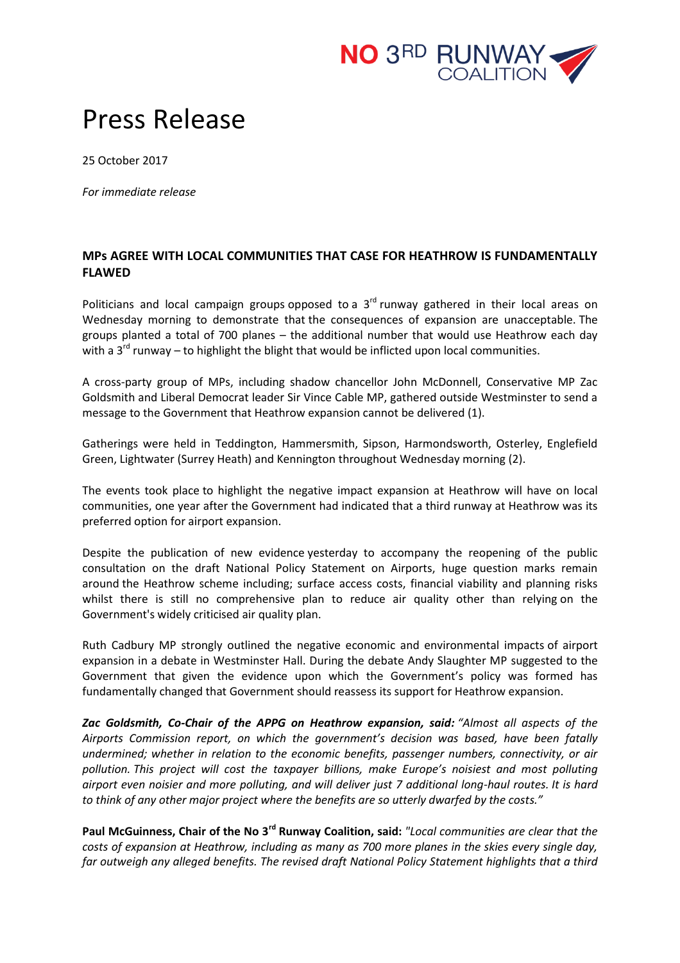

## Press Release

25 October 2017

*For immediate release*

## **MPs AGREE WITH LOCAL COMMUNITIES THAT CASE FOR HEATHROW IS FUNDAMENTALLY FLAWED**

Politicians and local campaign groups opposed to a  $3<sup>rd</sup>$  runway gathered in their local areas on Wednesday morning to demonstrate that the consequences of expansion are unacceptable. The groups planted a total of 700 planes – the additional number that would use Heathrow each day with a  $3^{rd}$  runway – to highlight the blight that would be inflicted upon local communities.

A cross-party group of MPs, including shadow chancellor John McDonnell, Conservative MP Zac Goldsmith and Liberal Democrat leader Sir Vince Cable MP, gathered outside Westminster to send a message to the Government that Heathrow expansion cannot be delivered (1).

Gatherings were held in Teddington, Hammersmith, Sipson, Harmondsworth, Osterley, Englefield Green, Lightwater (Surrey Heath) and Kennington throughout Wednesday morning (2).

The events took place to highlight the negative impact expansion at Heathrow will have on local communities, one year after the Government had indicated that a third runway at Heathrow was its preferred option for airport expansion.

Despite the publication of new evidence yesterday to accompany the reopening of the public consultation on the draft National Policy Statement on Airports, huge question marks remain around the Heathrow scheme including; surface access costs, financial viability and planning risks whilst there is still no comprehensive plan to reduce air quality other than relying on the Government's widely criticised air quality plan.

Ruth Cadbury MP strongly outlined the negative economic and environmental impacts of airport expansion in a debate in Westminster Hall. During the debate Andy Slaughter MP suggested to the Government that given the evidence upon which the Government's policy was formed has fundamentally changed that Government should reassess its support for Heathrow expansion.

*Zac Goldsmith, Co-Chair of the APPG on Heathrow expansion, said: "Almost all aspects of the Airports Commission report, on which the government's decision was based, have been fatally undermined; whether in relation to the economic benefits, passenger numbers, connectivity, or air pollution. This project will cost the taxpayer billions, make Europe's noisiest and most polluting airport even noisier and more polluting, and will deliver just 7 additional long-haul routes. It is hard to think of any other major project where the benefits are so utterly dwarfed by the costs."*

**Paul McGuinness, Chair of the No 3rd Runway Coalition, said:** *"Local communities are clear that the costs of expansion at Heathrow, including as many as 700 more planes in the skies every single day, far outweigh any alleged benefits. The revised draft National Policy Statement highlights that a third*